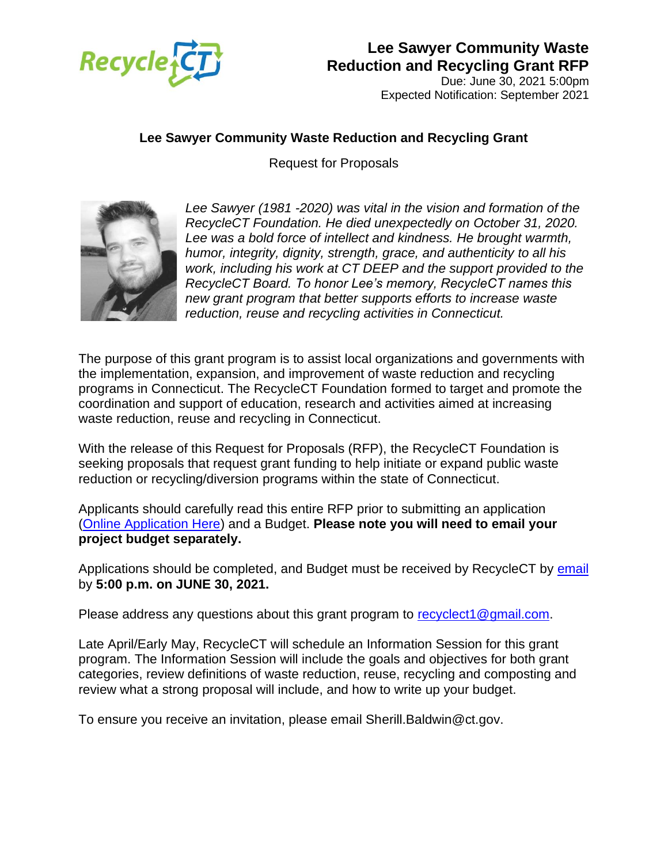

Due: June 30, 2021 5:00pm Expected Notification: September 2021

#### **Lee Sawyer Community Waste Reduction and Recycling Grant**

Request for Proposals



*Lee Sawyer (1981 -2020) was vital in the vision and formation of the RecycleCT Foundation. He died unexpectedly on October 31, 2020. Lee was a bold force of intellect and kindness. He brought warmth, humor, integrity, dignity, strength, grace, and authenticity to all his work, including his work at CT DEEP and the support provided to the RecycleCT Board. To honor Lee's memory, RecycleCT names this new grant program that better supports efforts to increase waste reduction, reuse and recycling activities in Connecticut.*

The purpose of this grant program is to assist local organizations and governments with the implementation, expansion, and improvement of waste reduction and recycling programs in Connecticut. The RecycleCT Foundation formed to target and promote the coordination and support of education, research and activities aimed at increasing waste reduction, reuse and recycling in Connecticut.

With the release of this Request for Proposals (RFP), the RecycleCT Foundation is seeking proposals that request grant funding to help initiate or expand public waste reduction or recycling/diversion programs within the state of Connecticut.

Applicants should carefully read this entire RFP prior to submitting an application [\(Online Application Here\)](https://forms.office.com/Pages/ResponsePage.aspx?id=-nyLEd2juUiwJjH_abtziyIrx8YVrPlHoUMbvxIga95UNEhMMk4xNkExTzNIWFVEV1VYRjFJVE42SS4u) and a Budget. **Please note you will need to email your project budget separately.**

Applications should be completed, and Budget must be received by RecycleCT by [email](mailto:recyclect1@gmail.com) by **5:00 p.m. on JUNE 30, 2021.** 

Please address any questions about this grant program to [recyclect1@gmail.com.](mailto:recyclect1@gmail.com)

Late April/Early May, RecycleCT will schedule an Information Session for this grant program. The Information Session will include the goals and objectives for both grant categories, review definitions of waste reduction, reuse, recycling and composting and review what a strong proposal will include, and how to write up your budget.

To ensure you receive an invitation, please email Sherill.Baldwin@ct.gov.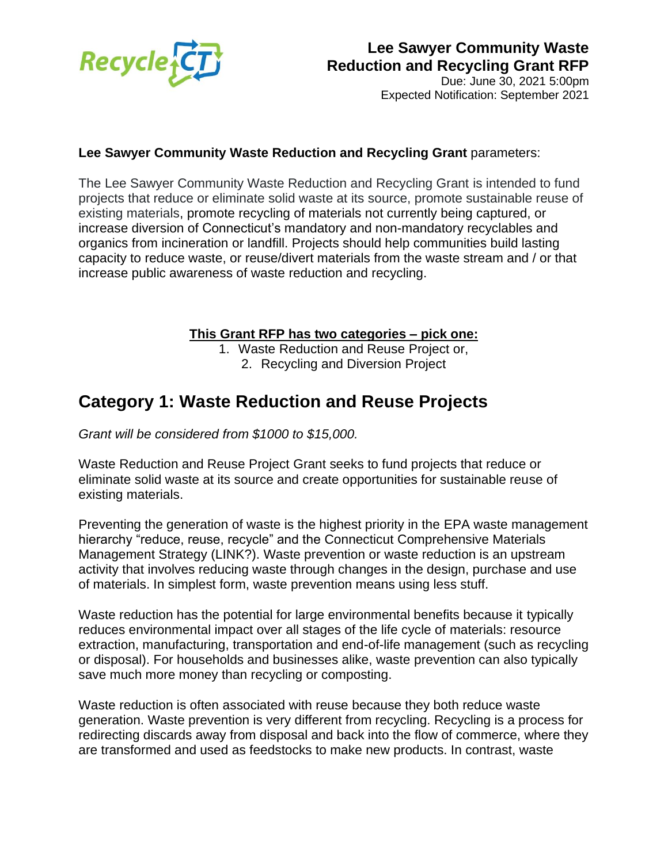

Due: June 30, 2021 5:00pm Expected Notification: September 2021

#### **Lee Sawyer Community Waste Reduction and Recycling Grant** parameters:

The Lee Sawyer Community Waste Reduction and Recycling Grant is intended to fund projects that reduce or eliminate solid waste at its source, promote sustainable reuse of existing materials, promote recycling of materials not currently being captured, or increase diversion of Connecticut's mandatory and non-mandatory recyclables and organics from incineration or landfill. Projects should help communities build lasting capacity to reduce waste, or reuse/divert materials from the waste stream and / or that increase public awareness of waste reduction and recycling.

#### **This Grant RFP has two categories – pick one:**

1. Waste Reduction and Reuse Project or,

2. Recycling and Diversion Project

# **Category 1: Waste Reduction and Reuse Projects**

*Grant will be considered from \$1000 to \$15,000.*

Waste Reduction and Reuse Project Grant seeks to fund projects that reduce or eliminate solid waste at its source and create opportunities for sustainable reuse of existing materials.

Preventing the generation of waste is the highest priority in the EPA waste management hierarchy "reduce, reuse, recycle" and the Connecticut Comprehensive Materials Management Strategy (LINK?). Waste prevention or waste reduction is an upstream activity that involves reducing waste through changes in the design, purchase and use of materials. In simplest form, waste prevention means using less stuff.

Waste reduction has the potential for large environmental benefits because it typically reduces environmental impact over all stages of the life cycle of materials: resource extraction, manufacturing, transportation and end-of-life management (such as recycling or disposal). For households and businesses alike, waste prevention can also typically save much more money than recycling or composting.

Waste reduction is often associated with reuse because they both reduce waste generation. Waste prevention is very different from recycling. Recycling is a process for redirecting discards away from disposal and back into the flow of commerce, where they are transformed and used as feedstocks to make new products. In contrast, waste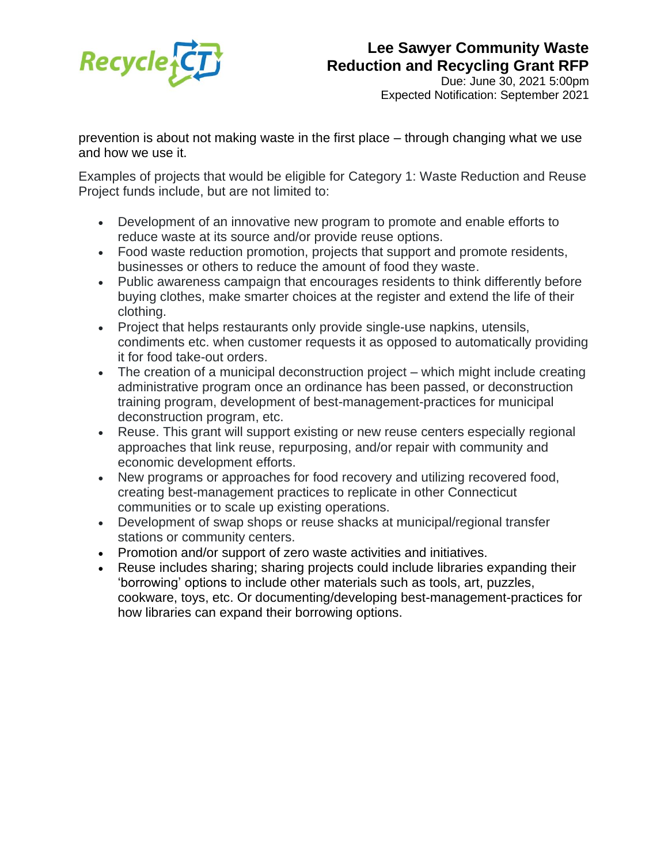

Due: June 30, 2021 5:00pm Expected Notification: September 2021

prevention is about not making waste in the first place – through changing what we use and how we use it.

Examples of projects that would be eligible for Category 1: Waste Reduction and Reuse Project funds include, but are not limited to:

- Development of an innovative new program to promote and enable efforts to reduce waste at its source and/or provide reuse options.
- Food waste reduction promotion, projects that support and promote residents, businesses or others to reduce the amount of food they waste.
- Public awareness campaign that encourages residents to think differently before buying clothes, make smarter choices at the register and extend the life of their clothing.
- Project that helps restaurants only provide single-use napkins, utensils, condiments etc. when customer requests it as opposed to automatically providing it for food take-out orders.
- The creation of a municipal deconstruction project which might include creating administrative program once an ordinance has been passed, or deconstruction training program, development of best-management-practices for municipal deconstruction program, etc.
- Reuse. This grant will support existing or new reuse centers especially regional approaches that link reuse, repurposing, and/or repair with community and economic development efforts.
- New programs or approaches for food recovery and utilizing recovered food, creating best-management practices to replicate in other Connecticut communities or to scale up existing operations.
- Development of swap shops or reuse shacks at municipal/regional transfer stations or community centers.
- Promotion and/or support of zero waste activities and initiatives.
- Reuse includes sharing; sharing projects could include libraries expanding their 'borrowing' options to include other materials such as tools, art, puzzles, cookware, toys, etc. Or documenting/developing best-management-practices for how libraries can expand their borrowing options.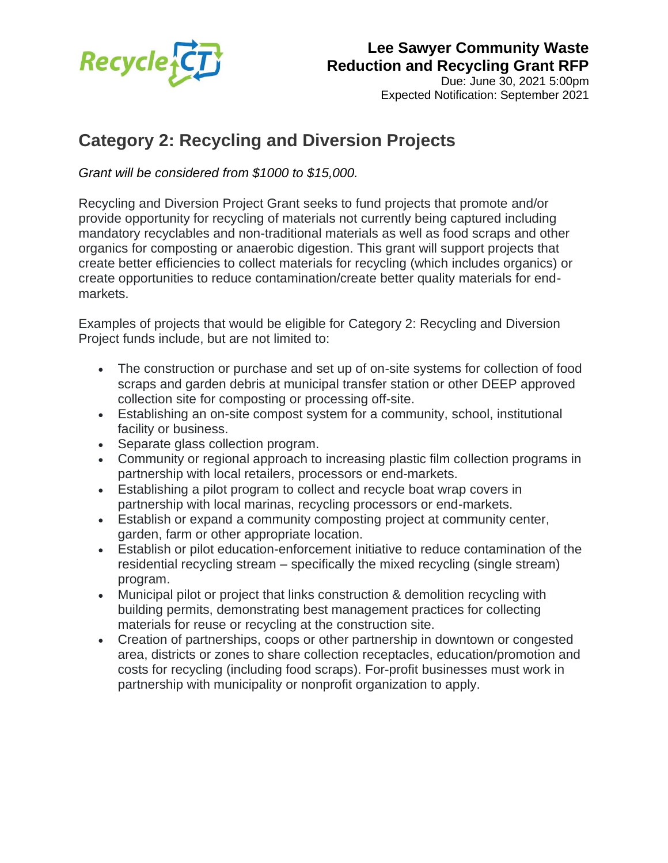

Due: June 30, 2021 5:00pm Expected Notification: September 2021

# **Category 2: Recycling and Diversion Projects**

*Grant will be considered from \$1000 to \$15,000.*

Recycling and Diversion Project Grant seeks to fund projects that promote and/or provide opportunity for recycling of materials not currently being captured including mandatory recyclables and non-traditional materials as well as food scraps and other organics for composting or anaerobic digestion. This grant will support projects that create better efficiencies to collect materials for recycling (which includes organics) or create opportunities to reduce contamination/create better quality materials for endmarkets.

Examples of projects that would be eligible for Category 2: Recycling and Diversion Project funds include, but are not limited to:

- The construction or purchase and set up of on-site systems for collection of food scraps and garden debris at municipal transfer station or other DEEP approved collection site for composting or processing off-site.
- Establishing an on-site compost system for a community, school, institutional facility or business.
- Separate glass collection program.
- Community or regional approach to increasing plastic film collection programs in partnership with local retailers, processors or end-markets.
- Establishing a pilot program to collect and recycle boat wrap covers in partnership with local marinas, recycling processors or end-markets.
- Establish or expand a community composting project at community center, garden, farm or other appropriate location.
- Establish or pilot education-enforcement initiative to reduce contamination of the residential recycling stream – specifically the mixed recycling (single stream) program.
- Municipal pilot or project that links construction & demolition recycling with building permits, demonstrating best management practices for collecting materials for reuse or recycling at the construction site.
- Creation of partnerships, coops or other partnership in downtown or congested area, districts or zones to share collection receptacles, education/promotion and costs for recycling (including food scraps). For-profit businesses must work in partnership with municipality or nonprofit organization to apply.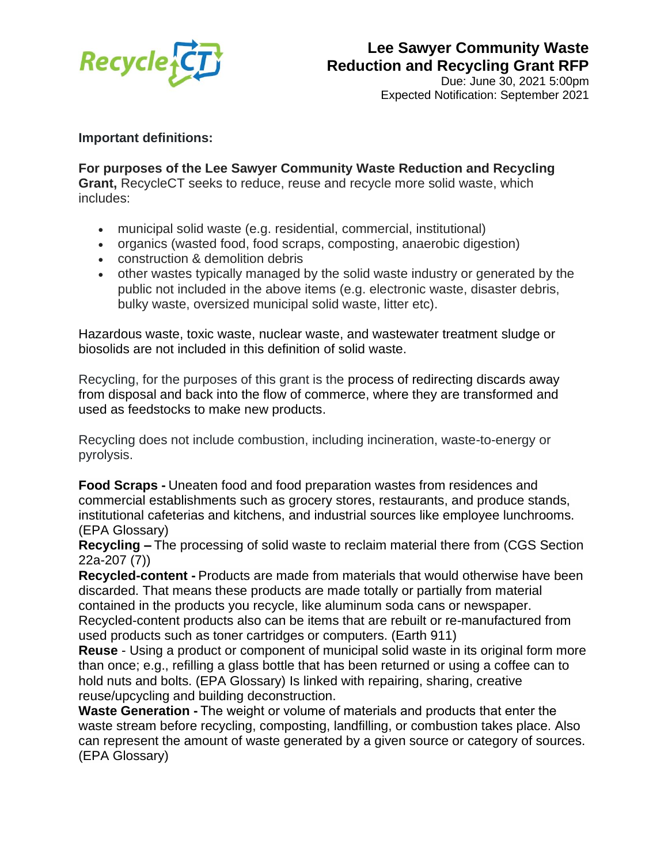

Due: June 30, 2021 5:00pm Expected Notification: September 2021

#### **Important definitions:**

**For purposes of the Lee Sawyer Community Waste Reduction and Recycling Grant,** RecycleCT seeks to reduce, reuse and recycle more solid waste, which includes:

- municipal solid waste (e.g. residential, commercial, institutional)
- organics (wasted food, food scraps, composting, anaerobic digestion)
- construction & demolition debris
- other wastes typically managed by the solid waste industry or generated by the public not included in the above items (e.g. electronic waste, disaster debris, bulky waste, oversized municipal solid waste, litter etc).

Hazardous waste, toxic waste, nuclear waste, and wastewater treatment sludge or biosolids are not included in this definition of solid waste.

Recycling, for the purposes of this grant is the process of redirecting discards away from disposal and back into the flow of commerce, where they are transformed and used as feedstocks to make new products.

Recycling does not include combustion, including incineration, waste-to-energy or pyrolysis.

**Food Scraps -** Uneaten food and food preparation wastes from residences and commercial establishments such as grocery stores, restaurants, and produce stands, institutional cafeterias and kitchens, and industrial sources like employee lunchrooms. (EPA Glossary)

**Recycling –** The processing of solid waste to reclaim material there from (CGS Section 22a-207 (7))

**Recycled-content -** Products are made from materials that would otherwise have been discarded. That means these products are made totally or partially from material contained in the products you recycle, like aluminum soda cans or newspaper. Recycled-content products also can be items that are rebuilt or re-manufactured from used products such as toner cartridges or computers. (Earth 911)

**Reuse** - Using a product or component of municipal solid waste in its original form more than once; e.g., refilling a glass bottle that has been returned or using a coffee can to hold nuts and bolts. (EPA Glossary) Is linked with repairing, sharing, creative reuse/upcycling and building deconstruction.

**Waste Generation -** The weight or volume of materials and products that enter the waste stream before recycling, composting, landfilling, or combustion takes place. Also can represent the amount of waste generated by a given source or category of sources. (EPA Glossary)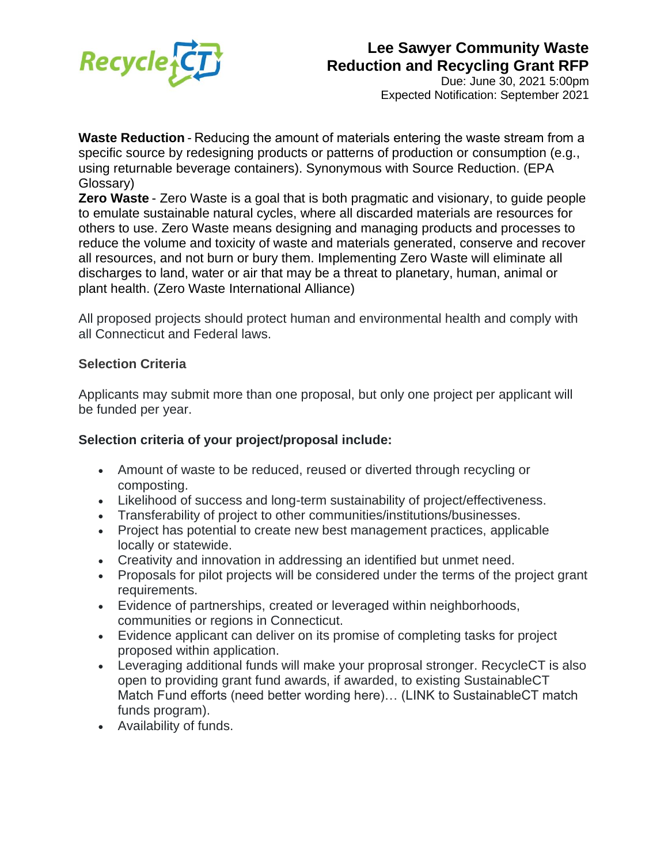

Due: June 30, 2021 5:00pm Expected Notification: September 2021

**Waste Reduction** - Reducing the amount of materials entering the waste stream from a specific source by redesigning products or patterns of production or consumption (e.g., using returnable beverage containers). Synonymous with Source Reduction. (EPA Glossary)

**Zero Waste** - Zero Waste is a goal that is both pragmatic and visionary, to guide people to emulate sustainable natural cycles, where all discarded materials are resources for others to use. Zero Waste means designing and managing products and processes to reduce the volume and toxicity of waste and materials generated, conserve and recover all resources, and not burn or bury them. Implementing Zero Waste will eliminate all discharges to land, water or air that may be a threat to planetary, human, animal or plant health. (Zero Waste International Alliance)

All proposed projects should protect human and environmental health and comply with all Connecticut and Federal laws.

#### **Selection Criteria**

Applicants may submit more than one proposal, but only one project per applicant will be funded per year.

#### **Selection criteria of your project/proposal include:**

- Amount of waste to be reduced, reused or diverted through recycling or composting.
- Likelihood of success and long-term sustainability of project/effectiveness.
- Transferability of project to other communities/institutions/businesses.
- Project has potential to create new best management practices, applicable locally or statewide.
- Creativity and innovation in addressing an identified but unmet need.
- Proposals for pilot projects will be considered under the terms of the project grant requirements.
- Evidence of partnerships, created or leveraged within neighborhoods, communities or regions in Connecticut.
- Evidence applicant can deliver on its promise of completing tasks for project proposed within application.
- Leveraging additional funds will make your proprosal stronger. RecycleCT is also open to providing grant fund awards, if awarded, to existing SustainableCT Match Fund efforts (need better wording here)… (LINK to SustainableCT match funds program).
- Availability of funds.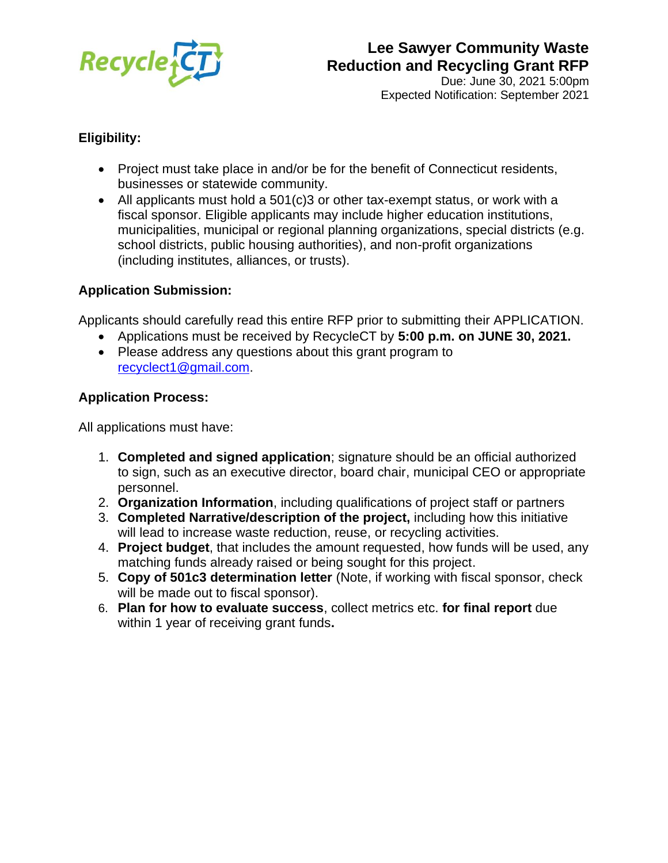

Due: June 30, 2021 5:00pm Expected Notification: September 2021

#### **Eligibility:**

- Project must take place in and/or be for the benefit of Connecticut residents, businesses or statewide community.
- All applicants must hold a 501(c)3 or other tax-exempt status, or work with a fiscal sponsor. Eligible applicants may include higher education institutions, municipalities, municipal or regional planning organizations, special districts (e.g. school districts, public housing authorities), and non-profit organizations (including institutes, alliances, or trusts).

#### **Application Submission:**

Applicants should carefully read this entire RFP prior to submitting their APPLICATION.

- Applications must be received by RecycleCT by **5:00 p.m. on JUNE 30, 2021.**
- Please address any questions about this grant program to [recyclect1@gmail.com.](mailto:recyclect1@gmail.com)

#### **Application Process:**

All applications must have:

- 1. **Completed and signed application**; signature should be an official authorized to sign, such as an executive director, board chair, municipal CEO or appropriate personnel.
- 2. **Organization Information**, including qualifications of project staff or partners
- 3. **Completed Narrative/description of the project,** including how this initiative will lead to increase waste reduction, reuse, or recycling activities.
- 4. **Project budget**, that includes the amount requested, how funds will be used, any matching funds already raised or being sought for this project.
- 5. **Copy of 501c3 determination letter** (Note, if working with fiscal sponsor, check will be made out to fiscal sponsor).
- 6. **Plan for how to evaluate success**, collect metrics etc. **for final report** due within 1 year of receiving grant funds**.**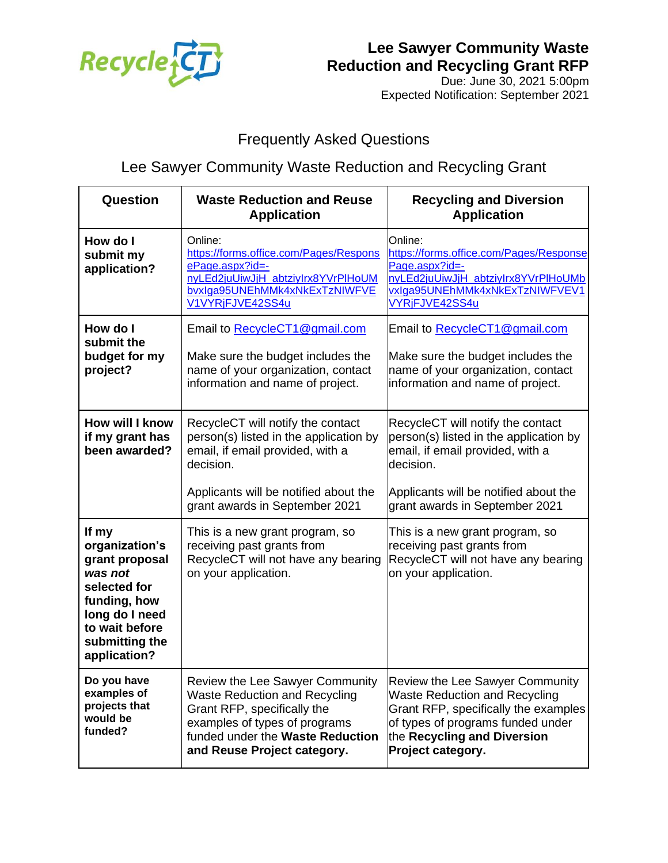

Due: June 30, 2021 5:00pm Expected Notification: September 2021

# Frequently Asked Questions

# Lee Sawyer Community Waste Reduction and Recycling Grant

| Question                                                                                                                                                   | <b>Waste Reduction and Reuse</b><br><b>Application</b>                                                                                                                                                            | <b>Recycling and Diversion</b><br><b>Application</b>                                                                                                                                                            |
|------------------------------------------------------------------------------------------------------------------------------------------------------------|-------------------------------------------------------------------------------------------------------------------------------------------------------------------------------------------------------------------|-----------------------------------------------------------------------------------------------------------------------------------------------------------------------------------------------------------------|
| How do I<br>submit my<br>application?                                                                                                                      | Online:<br>https://forms.office.com/Pages/Respons<br>ePage.aspx?id=-<br>nyLEd2juUiwJjH_abtziyIrx8YVrPlHoUM<br>bvxlga95UNEhMMk4xNkExTzNIWFVE<br>V1VYRjFJVE42SS4u                                                   | Online:<br>https://forms.office.com/Pages/Response<br>Page.aspx?id=-<br>nyLEd2juUiwJjH_abtziyIrx8YVrPlHoUMb<br>vxIga95UNEhMMk4xNkExTzNIWFVEV1<br>VYRjFJVE42SS4u                                                 |
| How do I<br>submit the<br>budget for my<br>project?                                                                                                        | Email to RecycleCT1@gmail.com<br>Make sure the budget includes the<br>name of your organization, contact<br>information and name of project.                                                                      | Email to RecycleCT1@gmail.com<br>Make sure the budget includes the<br>name of your organization, contact<br>information and name of project.                                                                    |
| How will I know<br>if my grant has<br>been awarded?                                                                                                        | RecycleCT will notify the contact<br>person(s) listed in the application by<br>email, if email provided, with a<br>decision.<br>Applicants will be notified about the<br>grant awards in September 2021           | RecycleCT will notify the contact<br>person(s) listed in the application by<br>email, if email provided, with a<br>decision.<br>Applicants will be notified about the<br>grant awards in September 2021         |
| If my<br>organization's<br>grant proposal<br>was not<br>selected for<br>funding, how<br>long do I need<br>to wait before<br>submitting the<br>application? | This is a new grant program, so<br>receiving past grants from<br>RecycleCT will not have any bearing<br>on your application.                                                                                      | This is a new grant program, so<br>receiving past grants from<br>RecycleCT will not have any bearing<br>on your application.                                                                                    |
| Do you have<br>examples of<br>projects that<br>would be<br>funded?                                                                                         | <b>Review the Lee Sawyer Community</b><br><b>Waste Reduction and Recycling</b><br>Grant RFP, specifically the<br>examples of types of programs<br>funded under the Waste Reduction<br>and Reuse Project category. | <b>Review the Lee Sawyer Community</b><br><b>Waste Reduction and Recycling</b><br>Grant RFP, specifically the examples<br>of types of programs funded under<br>the Recycling and Diversion<br>Project category. |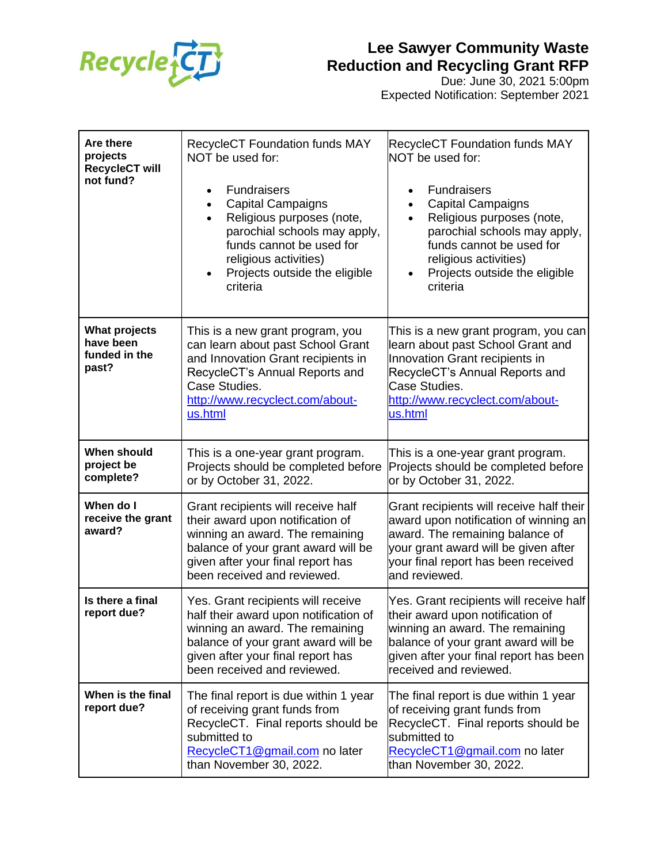

Due: June 30, 2021 5:00pm Expected Notification: September 2021

| Are there<br>projects<br><b>RecycleCT will</b><br>not fund? | <b>RecycleCT Foundation funds MAY</b><br>NOT be used for:<br><b>Fundraisers</b><br>$\bullet$<br><b>Capital Campaigns</b><br>Religious purposes (note,<br>$\bullet$<br>parochial schools may apply,<br>funds cannot be used for<br>religious activities)<br>Projects outside the eligible<br>criteria | <b>RecycleCT Foundation funds MAY</b><br>NOT be used for:<br><b>Fundraisers</b><br>$\bullet$<br><b>Capital Campaigns</b><br>$\bullet$<br>Religious purposes (note,<br>$\bullet$<br>parochial schools may apply,<br>funds cannot be used for<br>religious activities)<br>Projects outside the eligible<br>$\bullet$<br>criteria |
|-------------------------------------------------------------|------------------------------------------------------------------------------------------------------------------------------------------------------------------------------------------------------------------------------------------------------------------------------------------------------|--------------------------------------------------------------------------------------------------------------------------------------------------------------------------------------------------------------------------------------------------------------------------------------------------------------------------------|
| <b>What projects</b><br>have been<br>funded in the<br>past? | This is a new grant program, you<br>can learn about past School Grant<br>and Innovation Grant recipients in<br>RecycleCT's Annual Reports and<br>Case Studies.<br>http://www.recyclect.com/about-<br>us.html                                                                                         | This is a new grant program, you can<br>learn about past School Grant and<br>Innovation Grant recipients in<br>RecycleCT's Annual Reports and<br>Case Studies.<br>http://www.recyclect.com/about-<br>us.html                                                                                                                   |
| <b>When should</b><br>project be<br>complete?               | This is a one-year grant program.<br>Projects should be completed before<br>or by October 31, 2022.                                                                                                                                                                                                  | This is a one-year grant program.<br>Projects should be completed before<br>or by October 31, 2022.                                                                                                                                                                                                                            |
| When do I<br>receive the grant<br>award?                    | Grant recipients will receive half<br>their award upon notification of<br>winning an award. The remaining<br>balance of your grant award will be<br>given after your final report has<br>been received and reviewed.                                                                                 | Grant recipients will receive half their<br>award upon notification of winning an<br>award. The remaining balance of<br>your grant award will be given after<br>your final report has been received<br>and reviewed.                                                                                                           |
| Is there a final<br>report due?                             | Yes. Grant recipients will receive<br>half their award upon notification of<br>winning an award. The remaining<br>balance of your grant award will be<br>given after your final report has<br>been received and reviewed.                                                                            | Yes. Grant recipients will receive half<br>their award upon notification of<br>winning an award. The remaining<br>balance of your grant award will be<br>given after your final report has been<br>received and reviewed.                                                                                                      |
| When is the final<br>report due?                            | The final report is due within 1 year<br>of receiving grant funds from<br>RecycleCT. Final reports should be<br>submitted to<br>RecycleCT1@gmail.com no later<br>than November 30, 2022.                                                                                                             | The final report is due within 1 year<br>of receiving grant funds from<br>RecycleCT. Final reports should be<br>submitted to<br>RecycleCT1@gmail.com no later<br>than November 30, 2022.                                                                                                                                       |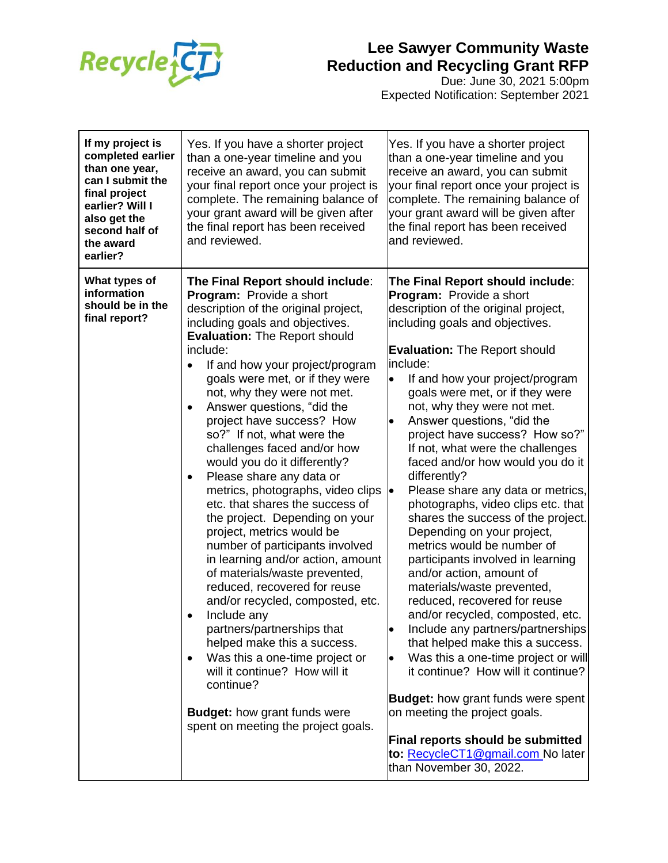

Due: June 30, 2021 5:00pm Expected Notification: September 2021

| If my project is<br>completed earlier<br>than one year,<br>can I submit the<br>final project<br>earlier? Will I<br>also get the<br>second half of<br>the award<br>earlier? | Yes. If you have a shorter project<br>than a one-year timeline and you<br>receive an award, you can submit<br>your final report once your project is<br>complete. The remaining balance of<br>your grant award will be given after<br>the final report has been received<br>and reviewed.                                                                                                                                                                                                                                                                                                                                                                                                                                                                                                                                                                                                                                                                                                                                                                                    | Yes. If you have a shorter project<br>than a one-year timeline and you<br>receive an award, you can submit<br>your final report once your project is<br>complete. The remaining balance of<br>your grant award will be given after<br>the final report has been received<br>and reviewed.                                                                                                                                                                                                                                                                                                                                                                                                                                                                                                                                                                                                                                                                                                                                                                                                                                                                                    |
|----------------------------------------------------------------------------------------------------------------------------------------------------------------------------|------------------------------------------------------------------------------------------------------------------------------------------------------------------------------------------------------------------------------------------------------------------------------------------------------------------------------------------------------------------------------------------------------------------------------------------------------------------------------------------------------------------------------------------------------------------------------------------------------------------------------------------------------------------------------------------------------------------------------------------------------------------------------------------------------------------------------------------------------------------------------------------------------------------------------------------------------------------------------------------------------------------------------------------------------------------------------|------------------------------------------------------------------------------------------------------------------------------------------------------------------------------------------------------------------------------------------------------------------------------------------------------------------------------------------------------------------------------------------------------------------------------------------------------------------------------------------------------------------------------------------------------------------------------------------------------------------------------------------------------------------------------------------------------------------------------------------------------------------------------------------------------------------------------------------------------------------------------------------------------------------------------------------------------------------------------------------------------------------------------------------------------------------------------------------------------------------------------------------------------------------------------|
| What types of<br>information<br>should be in the<br>final report?                                                                                                          | The Final Report should include:<br>Program: Provide a short<br>description of the original project,<br>including goals and objectives.<br><b>Evaluation: The Report should</b><br>include:<br>If and how your project/program<br>goals were met, or if they were<br>not, why they were not met.<br>Answer questions, "did the<br>$\bullet$<br>project have success? How<br>so?" If not, what were the<br>challenges faced and/or how<br>would you do it differently?<br>Please share any data or<br>$\bullet$<br>metrics, photographs, video clips<br>etc. that shares the success of<br>the project. Depending on your<br>project, metrics would be<br>number of participants involved<br>in learning and/or action, amount<br>of materials/waste prevented,<br>reduced, recovered for reuse<br>and/or recycled, composted, etc.<br>Include any<br>partners/partnerships that<br>helped make this a success.<br>Was this a one-time project or<br>will it continue? How will it<br>continue?<br><b>Budget: how grant funds were</b><br>spent on meeting the project goals. | The Final Report should include:<br>Program: Provide a short<br>description of the original project,<br>including goals and objectives.<br><b>Evaluation: The Report should</b><br>linclude:<br>If and how your project/program<br>$\bullet$<br>goals were met, or if they were<br>not, why they were not met.<br>Answer questions, "did the<br>$\bullet$<br>project have success? How so?"<br>If not, what were the challenges<br>faced and/or how would you do it<br>differently?<br>Please share any data or metrics,<br>photographs, video clips etc. that<br>shares the success of the project.<br>Depending on your project,<br>metrics would be number of<br>participants involved in learning<br>and/or action, amount of<br>materials/waste prevented,<br>reduced, recovered for reuse<br>and/or recycled, composted, etc.<br>Include any partners/partnerships<br>that helped make this a success.<br>Was this a one-time project or will<br>it continue? How will it continue?<br><b>Budget:</b> how grant funds were spent<br>on meeting the project goals.<br>Final reports should be submitted<br>to: RecycleCT1@gmail.com No later<br>than November 30, 2022. |